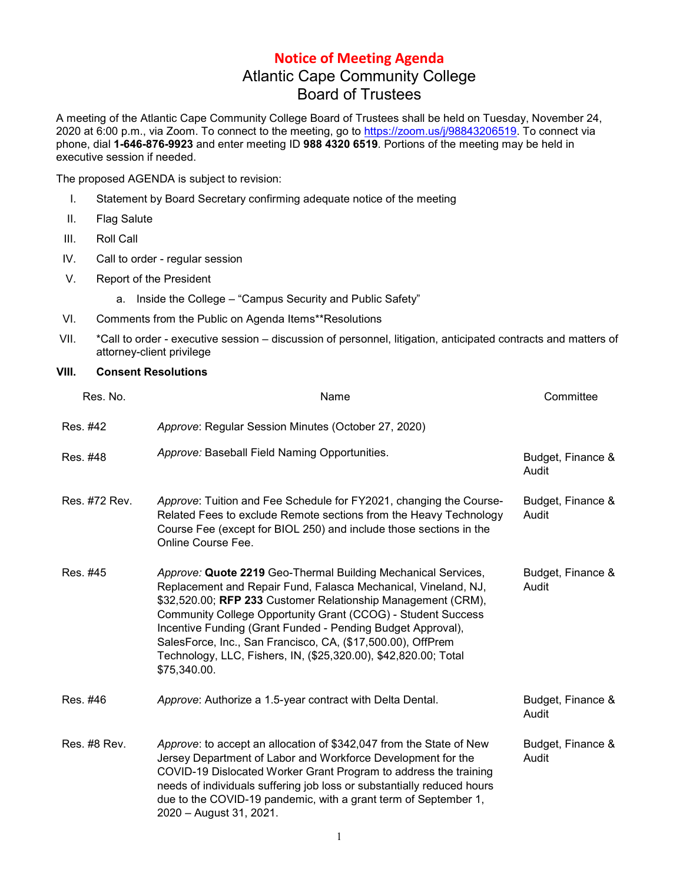## **Notice of Meeting Agenda** Atlantic Cape Community College Board of Trustees

A meeting of the Atlantic Cape Community College Board of Trustees shall be held on Tuesday, November 24, 2020 at 6:00 p.m., via Zoom. To connect to the meeting, go to [https://zoom.us/j/98843206519.](https://zoom.us/j/98843206519) To connect via phone, dial **1-646-876-9923** and enter meeting ID **988 4320 6519**. Portions of the meeting may be held in executive session if needed.

The proposed AGENDA is subject to revision:

- I. Statement by Board Secretary confirming adequate notice of the meeting
- II. Flag Salute
- III. Roll Call
- IV. Call to order regular session
- V. Report of the President

a. Inside the College – "Campus Security and Public Safety"

- VI. Comments from the Public on Agenda Items\*\*Resolutions
- VII. \*Call to order executive session discussion of personnel, litigation, anticipated contracts and matters of attorney-client privilege

## **VIII. Consent Resolutions**

| Res. No.      | Name                                                                                                                                                                                                                                                                                                                                                                                                                                                                             | Committee                  |
|---------------|----------------------------------------------------------------------------------------------------------------------------------------------------------------------------------------------------------------------------------------------------------------------------------------------------------------------------------------------------------------------------------------------------------------------------------------------------------------------------------|----------------------------|
| Res. #42      | Approve: Regular Session Minutes (October 27, 2020)                                                                                                                                                                                                                                                                                                                                                                                                                              |                            |
| Res. #48      | Approve: Baseball Field Naming Opportunities.                                                                                                                                                                                                                                                                                                                                                                                                                                    | Budget, Finance &<br>Audit |
| Res. #72 Rev. | Approve: Tuition and Fee Schedule for FY2021, changing the Course-<br>Related Fees to exclude Remote sections from the Heavy Technology<br>Course Fee (except for BIOL 250) and include those sections in the<br>Online Course Fee.                                                                                                                                                                                                                                              | Budget, Finance &<br>Audit |
| Res. #45      | Approve: Quote 2219 Geo-Thermal Building Mechanical Services,<br>Replacement and Repair Fund, Falasca Mechanical, Vineland, NJ,<br>\$32,520.00; RFP 233 Customer Relationship Management (CRM),<br>Community College Opportunity Grant (CCOG) - Student Success<br>Incentive Funding (Grant Funded - Pending Budget Approval),<br>SalesForce, Inc., San Francisco, CA, (\$17,500.00), OffPrem<br>Technology, LLC, Fishers, IN, (\$25,320.00), \$42,820.00; Total<br>\$75,340.00. | Budget, Finance &<br>Audit |
| Res. #46      | Approve: Authorize a 1.5-year contract with Delta Dental.                                                                                                                                                                                                                                                                                                                                                                                                                        | Budget, Finance &<br>Audit |
| Res. #8 Rev.  | Approve: to accept an allocation of \$342,047 from the State of New<br>Jersey Department of Labor and Workforce Development for the<br>COVID-19 Dislocated Worker Grant Program to address the training<br>needs of individuals suffering job loss or substantially reduced hours<br>due to the COVID-19 pandemic, with a grant term of September 1,<br>2020 - August 31, 2021.                                                                                                  | Budget, Finance &<br>Audit |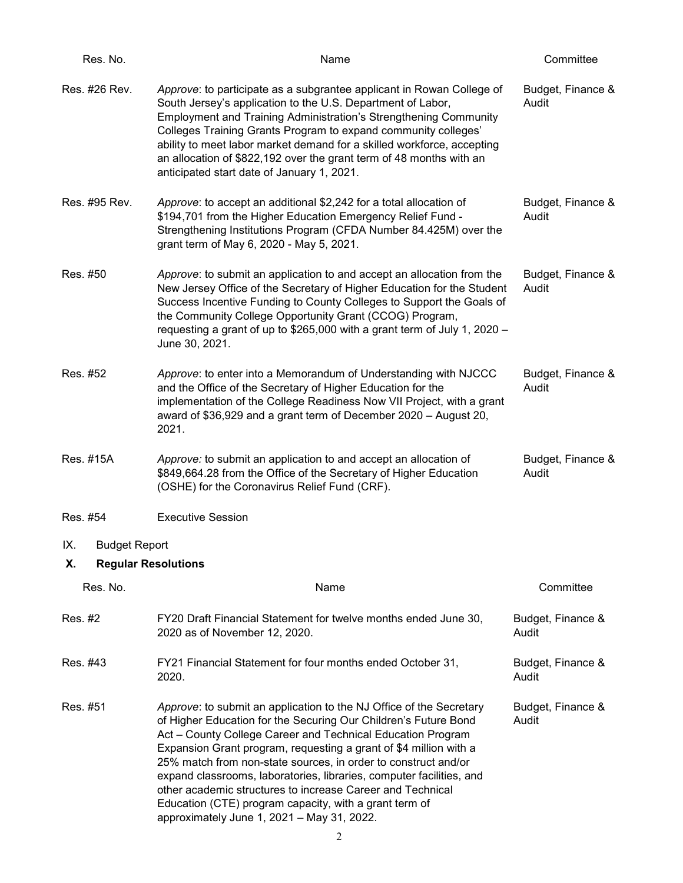| Res. No.                                                        | Name                                                                                                                                                                                                                                                                                                                                                                                                                                                                                                                                                                                       | Committee                  |
|-----------------------------------------------------------------|--------------------------------------------------------------------------------------------------------------------------------------------------------------------------------------------------------------------------------------------------------------------------------------------------------------------------------------------------------------------------------------------------------------------------------------------------------------------------------------------------------------------------------------------------------------------------------------------|----------------------------|
| Res. #26 Rev.                                                   | Approve: to participate as a subgrantee applicant in Rowan College of<br>South Jersey's application to the U.S. Department of Labor,<br><b>Employment and Training Administration's Strengthening Community</b><br>Colleges Training Grants Program to expand community colleges'<br>ability to meet labor market demand for a skilled workforce, accepting<br>an allocation of \$822,192 over the grant term of 48 months with an<br>anticipated start date of January 1, 2021.                                                                                                           | Budget, Finance &<br>Audit |
| Res. #95 Rev.                                                   | Approve: to accept an additional \$2,242 for a total allocation of<br>\$194,701 from the Higher Education Emergency Relief Fund -<br>Strengthening Institutions Program (CFDA Number 84.425M) over the<br>grant term of May 6, 2020 - May 5, 2021.                                                                                                                                                                                                                                                                                                                                         | Budget, Finance &<br>Audit |
| Res. #50                                                        | Approve: to submit an application to and accept an allocation from the<br>New Jersey Office of the Secretary of Higher Education for the Student<br>Success Incentive Funding to County Colleges to Support the Goals of<br>the Community College Opportunity Grant (CCOG) Program,<br>requesting a grant of up to \$265,000 with a grant term of July 1, 2020 -<br>June 30, 2021.                                                                                                                                                                                                         | Budget, Finance &<br>Audit |
| Res. #52                                                        | Approve: to enter into a Memorandum of Understanding with NJCCC<br>and the Office of the Secretary of Higher Education for the<br>implementation of the College Readiness Now VII Project, with a grant<br>award of \$36,929 and a grant term of December 2020 - August 20,<br>2021.                                                                                                                                                                                                                                                                                                       | Budget, Finance &<br>Audit |
| Res. #15A                                                       | Approve: to submit an application to and accept an allocation of<br>\$849,664.28 from the Office of the Secretary of Higher Education<br>(OSHE) for the Coronavirus Relief Fund (CRF).                                                                                                                                                                                                                                                                                                                                                                                                     | Budget, Finance &<br>Audit |
| Res. #54                                                        | <b>Executive Session</b>                                                                                                                                                                                                                                                                                                                                                                                                                                                                                                                                                                   |                            |
| <b>Budget Report</b><br>IX.<br>Х.<br><b>Regular Resolutions</b> |                                                                                                                                                                                                                                                                                                                                                                                                                                                                                                                                                                                            |                            |
| Res. No.                                                        | Name                                                                                                                                                                                                                                                                                                                                                                                                                                                                                                                                                                                       | Committee                  |
| Res. #2                                                         | FY20 Draft Financial Statement for twelve months ended June 30,<br>2020 as of November 12, 2020.                                                                                                                                                                                                                                                                                                                                                                                                                                                                                           | Budget, Finance &<br>Audit |
| Res. #43                                                        | FY21 Financial Statement for four months ended October 31,<br>2020.                                                                                                                                                                                                                                                                                                                                                                                                                                                                                                                        | Budget, Finance &<br>Audit |
| Res. #51                                                        | Approve: to submit an application to the NJ Office of the Secretary<br>of Higher Education for the Securing Our Children's Future Bond<br>Act - County College Career and Technical Education Program<br>Expansion Grant program, requesting a grant of \$4 million with a<br>25% match from non-state sources, in order to construct and/or<br>expand classrooms, laboratories, libraries, computer facilities, and<br>other academic structures to increase Career and Technical<br>Education (CTE) program capacity, with a grant term of<br>approximately June 1, 2021 - May 31, 2022. | Budget, Finance &<br>Audit |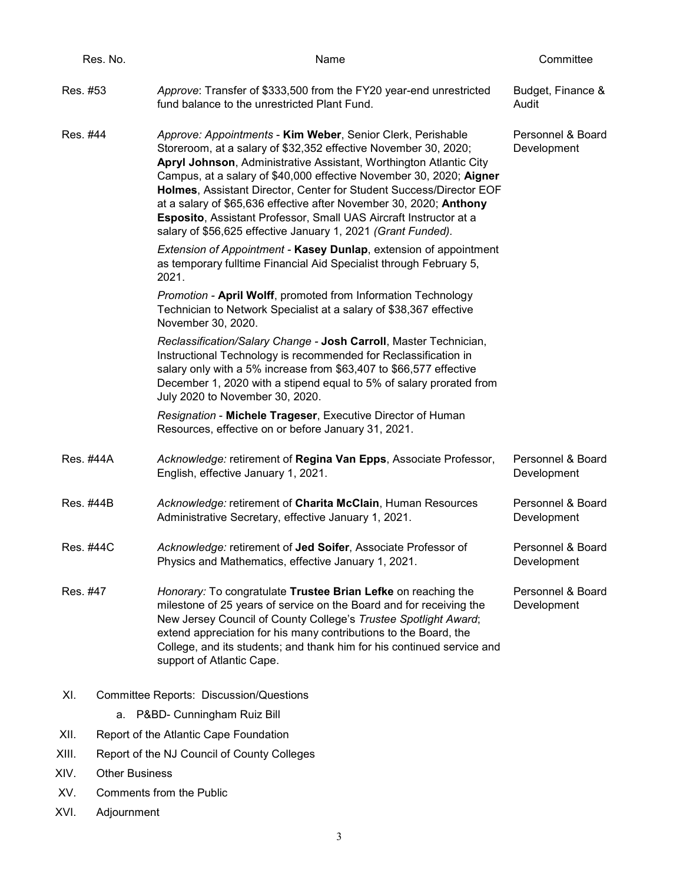|          | Res. No.                                    | Name                                                                                                                                                                                                                                                                                                                                                                                                                                                                                                                                                          | Committee                        |
|----------|---------------------------------------------|---------------------------------------------------------------------------------------------------------------------------------------------------------------------------------------------------------------------------------------------------------------------------------------------------------------------------------------------------------------------------------------------------------------------------------------------------------------------------------------------------------------------------------------------------------------|----------------------------------|
| Res. #53 |                                             | Approve: Transfer of \$333,500 from the FY20 year-end unrestricted<br>fund balance to the unrestricted Plant Fund.                                                                                                                                                                                                                                                                                                                                                                                                                                            | Budget, Finance &<br>Audit       |
| Res. #44 |                                             | Approve: Appointments - Kim Weber, Senior Clerk, Perishable<br>Storeroom, at a salary of \$32,352 effective November 30, 2020;<br>Apryl Johnson, Administrative Assistant, Worthington Atlantic City<br>Campus, at a salary of \$40,000 effective November 30, 2020; Aigner<br>Holmes, Assistant Director, Center for Student Success/Director EOF<br>at a salary of \$65,636 effective after November 30, 2020; Anthony<br>Esposito, Assistant Professor, Small UAS Aircraft Instructor at a<br>salary of \$56,625 effective January 1, 2021 (Grant Funded). | Personnel & Board<br>Development |
|          |                                             | Extension of Appointment - Kasey Dunlap, extension of appointment<br>as temporary fulltime Financial Aid Specialist through February 5,<br>2021.                                                                                                                                                                                                                                                                                                                                                                                                              |                                  |
|          |                                             | Promotion - April Wolff, promoted from Information Technology<br>Technician to Network Specialist at a salary of \$38,367 effective<br>November 30, 2020.                                                                                                                                                                                                                                                                                                                                                                                                     |                                  |
|          |                                             | Reclassification/Salary Change - Josh Carroll, Master Technician,<br>Instructional Technology is recommended for Reclassification in<br>salary only with a 5% increase from \$63,407 to \$66,577 effective<br>December 1, 2020 with a stipend equal to 5% of salary prorated from<br>July 2020 to November 30, 2020.                                                                                                                                                                                                                                          |                                  |
|          |                                             | Resignation - Michele Trageser, Executive Director of Human<br>Resources, effective on or before January 31, 2021.                                                                                                                                                                                                                                                                                                                                                                                                                                            |                                  |
|          | Res. #44A                                   | Acknowledge: retirement of Regina Van Epps, Associate Professor,<br>English, effective January 1, 2021.                                                                                                                                                                                                                                                                                                                                                                                                                                                       | Personnel & Board<br>Development |
|          | Res. #44B                                   | Acknowledge: retirement of Charita McClain, Human Resources<br>Administrative Secretary, effective January 1, 2021.                                                                                                                                                                                                                                                                                                                                                                                                                                           | Personnel & Board<br>Development |
|          | Res. #44C                                   | Acknowledge: retirement of Jed Soifer, Associate Professor of<br>Physics and Mathematics, effective January 1, 2021.                                                                                                                                                                                                                                                                                                                                                                                                                                          | Personnel & Board<br>Development |
| Res. #47 |                                             | Honorary: To congratulate Trustee Brian Lefke on reaching the<br>milestone of 25 years of service on the Board and for receiving the<br>New Jersey Council of County College's Trustee Spotlight Award;<br>extend appreciation for his many contributions to the Board, the<br>College, and its students; and thank him for his continued service and<br>support of Atlantic Cape.                                                                                                                                                                            | Personnel & Board<br>Development |
| XI.      |                                             | <b>Committee Reports: Discussion/Questions</b>                                                                                                                                                                                                                                                                                                                                                                                                                                                                                                                |                                  |
|          | P&BD- Cunningham Ruiz Bill<br>а.            |                                                                                                                                                                                                                                                                                                                                                                                                                                                                                                                                                               |                                  |
| XII.     |                                             | Report of the Atlantic Cape Foundation                                                                                                                                                                                                                                                                                                                                                                                                                                                                                                                        |                                  |
| XIII.    | Report of the NJ Council of County Colleges |                                                                                                                                                                                                                                                                                                                                                                                                                                                                                                                                                               |                                  |
| XIV.     | <b>Other Business</b>                       |                                                                                                                                                                                                                                                                                                                                                                                                                                                                                                                                                               |                                  |
| XV.      | Comments from the Public                    |                                                                                                                                                                                                                                                                                                                                                                                                                                                                                                                                                               |                                  |

3

XVI. Adjournment